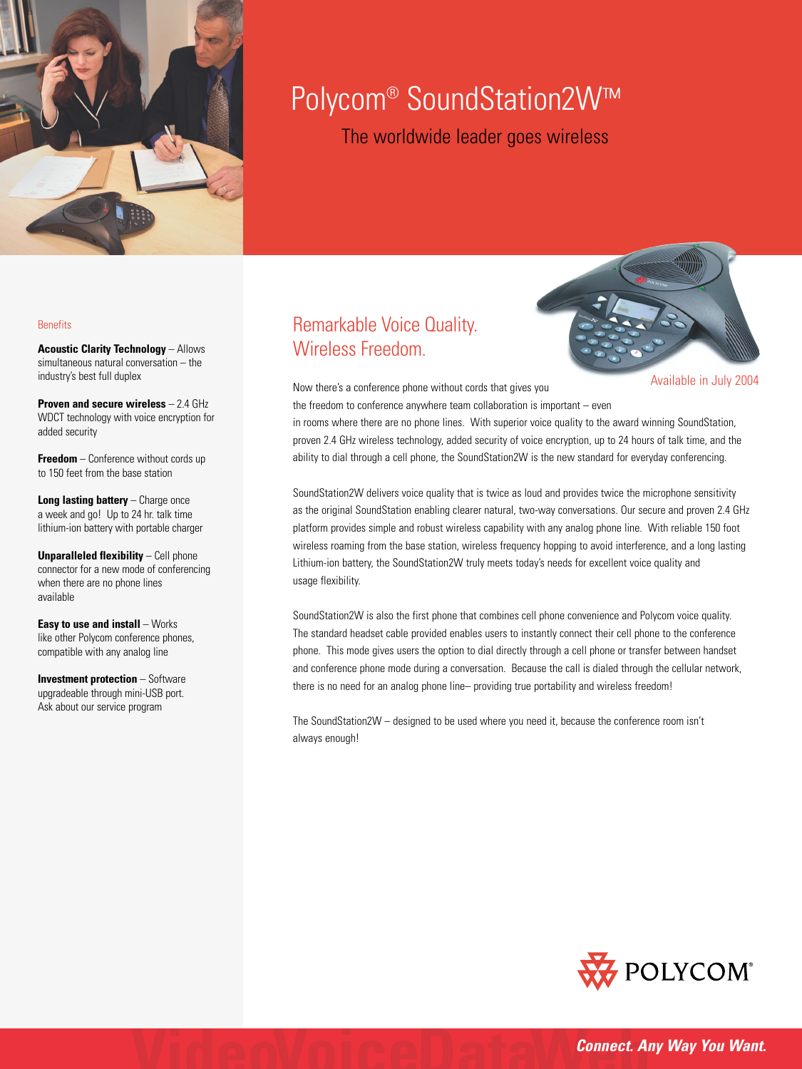

# Polycom<sup>®</sup> SoundStation2W™

The worldwide leader goes wireless

#### **Benefits**

**Acoustic Clarity Technology** – Allows simultaneous natural conversation – the industry's best full duplex

**Proven and secure wireless** – 2.4 GHz WDCT technology with voice encryption for added security

**Freedom** – Conference without cords up to 150 feet from the base station

**Long lasting battery** – Charge once a week and go! Up to 24 hr. talk time lithium-ion battery with portable charger

**Unparalleled flexibility – Cell phone** connector for a new mode of conferencing when there are no phone lines available

**Easy to use and install** – Works like other Polycom conference phones, compatible with any analog line

**Investment protection** – Software upgradeable through mini-USB port. Ask about our service program

## Remarkable Voice Quality. Wireless Freedom.



Now there's a conference phone without cords that gives you

the freedom to conference anywhere team collaboration is important – even in rooms where there are no phone lines. With superior voice quality to the award winning SoundStation,

proven 2.4 GHz wireless technology, added security of voice encryption, up to 24 hours of talk time, and the ability to dial through a cell phone, the SoundStation2W is the new standard for everyday conferencing.

SoundStation2W delivers voice quality that is twice as loud and provides twice the microphone sensitivity as the original SoundStation enabling clearer natural, two-way conversations. Our secure and proven 2.4 GHz platform provides simple and robust wireless capability with any analog phone line. With reliable 150 foot wireless roaming from the base station, wireless frequency hopping to avoid interference, and a long lasting Lithium-ion battery, the SoundStation2W truly meets today's needs for excellent voice quality and usage flexibility.

SoundStation2W is also the first phone that combines cell phone convenience and Polycom voice quality. The standard headset cable provided enables users to instantly connect their cell phone to the conference phone. This mode gives users the option to dial directly through a cell phone or transfer between handset and conference phone mode during a conversation. Because the call is dialed through the cellular network, there is no need for an analog phone line– providing true portability and wireless freedom!

The SoundStation2W – designed to be used where you need it, because the conference room isn't always enough!



*Connect. Any Way You Want.*